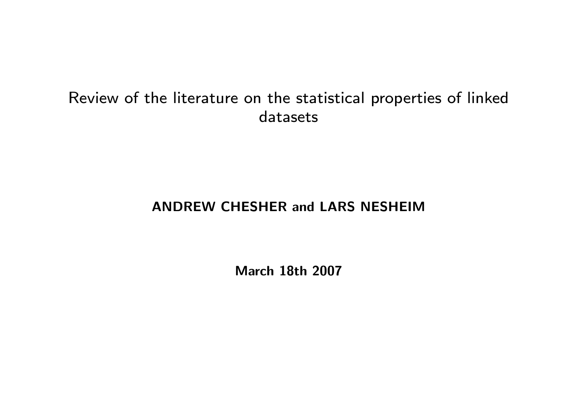## Review of the literature on the statistical properties of linked datasets

#### ANDREW CHESHER and LARS NESHEIM

March 18th 2007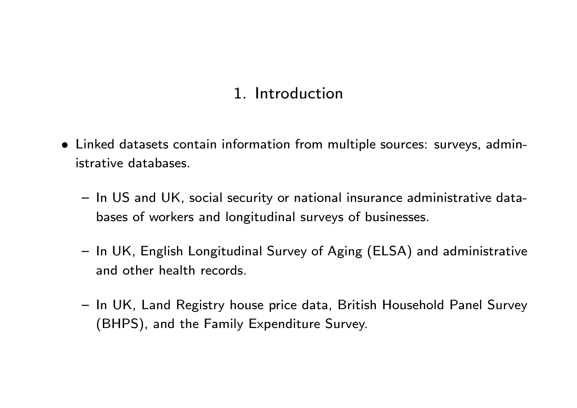# 1. Introduction

- Linked datasets contain information from multiple sources: surveys, administrative databases.
	- In US and UK, social security or national insurance administrative databases of workers and longitudinal surveys of businesses.
	- { In UK, English Longitudinal Survey of Aging (ELSA) and administrative and other health records.
	- { In UK, Land Registry house price data, British Household Panel Survey (BHPS), and the Family Expenditure Survey.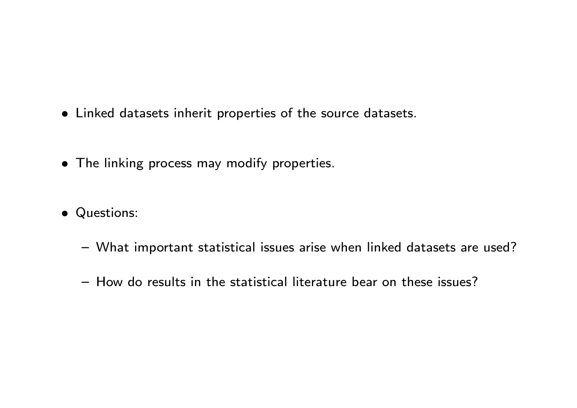- Linked datasets inherit properties of the source datasets.
- The linking process may modify properties.
- Questions:
	- { What important statistical issues arise when linked datasets are used?
	- How do results in the statistical literature bear on these issues?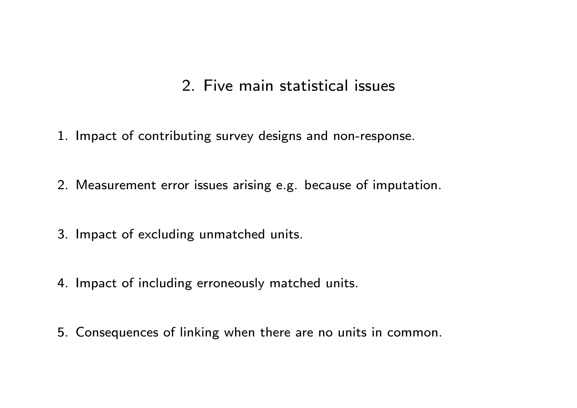### 2. Five main statistical issues

- 1. Impact of contributing survey designs and non-response.
- 2. Measurement error issues arising e.g. because of imputation.
- 3. Impact of excluding unmatched units.
- 4. Impact of including erroneously matched units.
- 5. Consequences of linking when there are no units in common.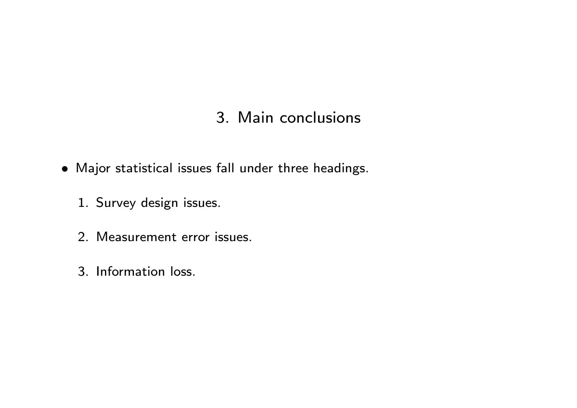## 3. Main conclusions

- Major statistical issues fall under three headings.
	- 1. Survey design issues.
	- 2. Measurement error issues.
	- 3. Information loss.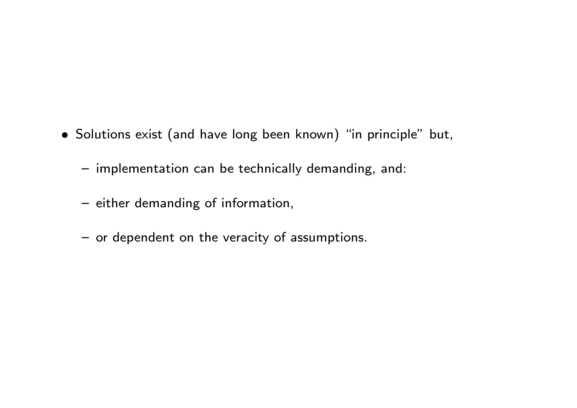- Solutions exist (and have long been known) "in principle" but,
	- implementation can be technically demanding, and:
	- either demanding of information,
	- or dependent on the veracity of assumptions.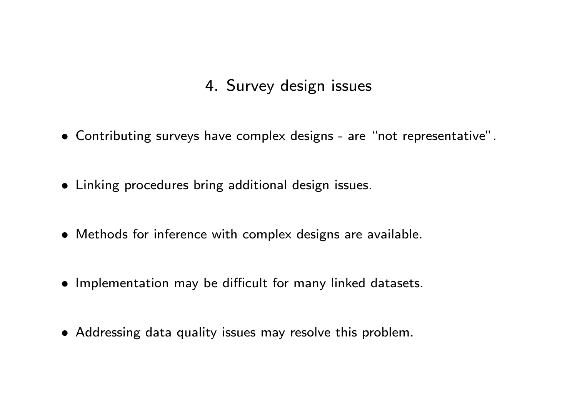## 4. Survey design issues

- Contributing surveys have complex designs are "not representative".
- Linking procedures bring additional design issues.
- Methods for inference with complex designs are available.
- Implementation may be difficult for many linked datasets.
- Addressing data quality issues may resolve this problem.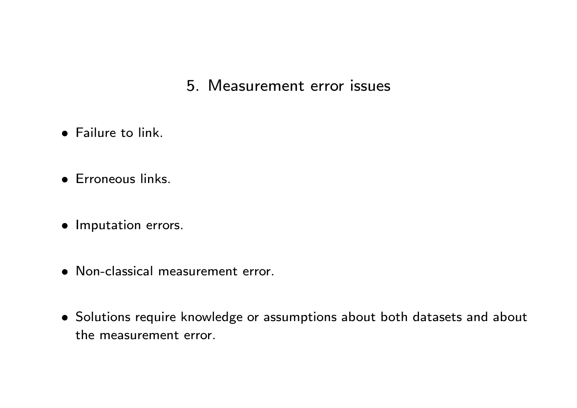#### 5. Measurement error issues

- Failure to link.
- **•** Erroneous links.
- Imputation errors.
- Non-classical measurement error.
- Solutions require knowledge or assumptions about both datasets and about the measurement error.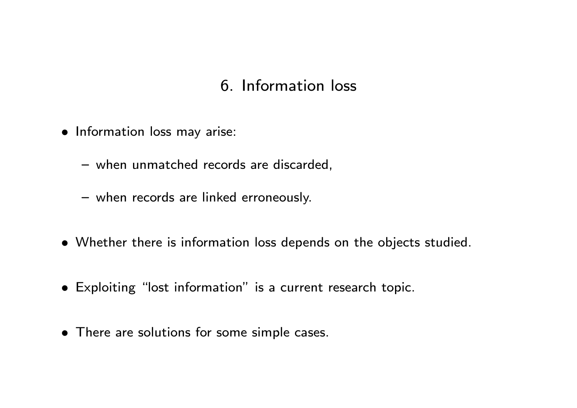## 6. Information loss

- Information loss may arise:
	- when unmatched records are discarded,
	- when records are linked erroneously.
- Whether there is information loss depends on the objects studied.
- Exploiting "lost information" is a current research topic.
- There are solutions for some simple cases.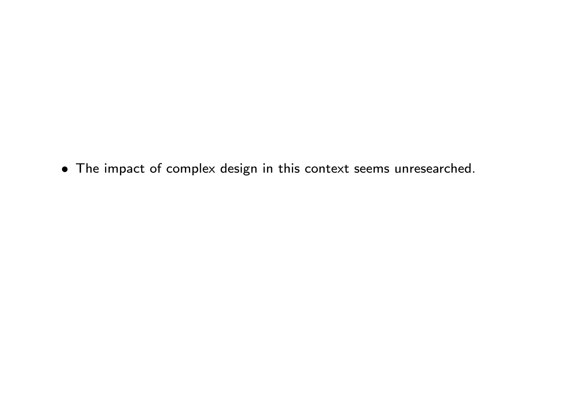The impact of complex design in this context seems unresearched.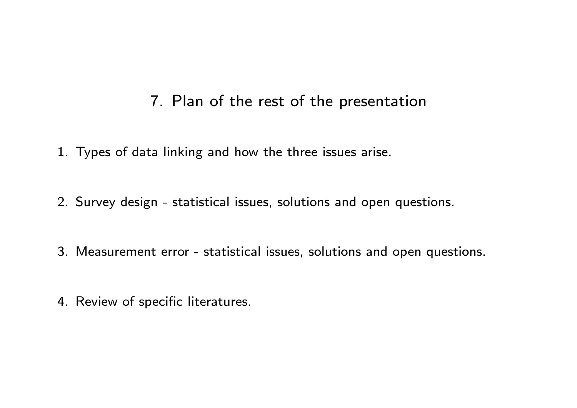#### 7. Plan of the rest of the presentation

- 1. Types of data linking and how the three issues arise.
- 2. Survey design statistical issues, solutions and open questions.
- 3. Measurement error statistical issues, solutions and open questions.
- 4. Review of specific literatures.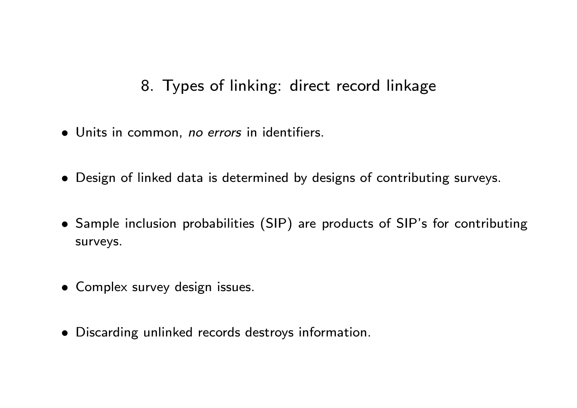## 8. Types of linking: direct record linkage

- Units in common, no errors in identifiers.
- Design of linked data is determined by designs of contributing surveys.
- Sample inclusion probabilities (SIP) are products of SIP's for contributing surveys.
- Complex survey design issues.
- Discarding unlinked records destroys information.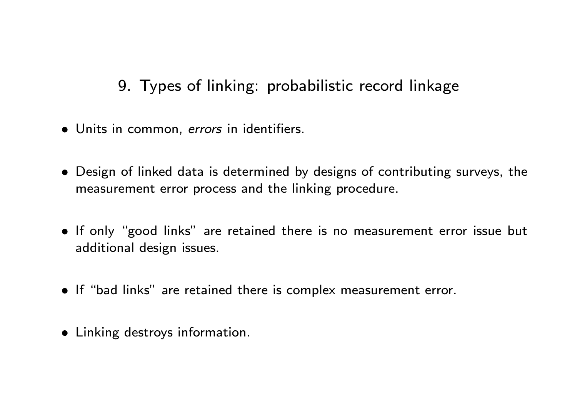# 9. Types of linking: probabilistic record linkage

- Units in common, errors in identifiers.
- Design of linked data is determined by designs of contributing surveys, the measurement error process and the linking procedure.
- If only "good links" are retained there is no measurement error issue but additional design issues.
- If "bad links" are retained there is complex measurement error.
- Linking destroys information.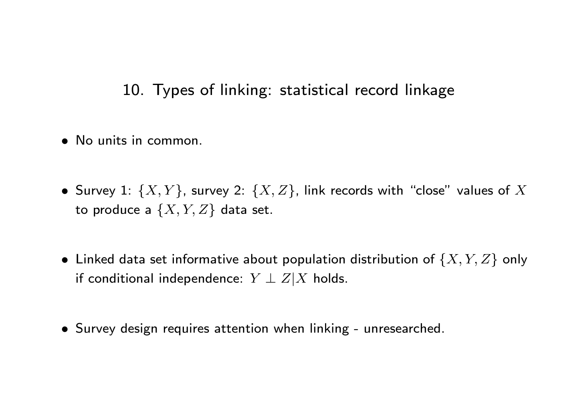10. Types of linking: statistical record linkage

- No units in common.
- Survey 1:  $\{X,Y\}$ , survey 2:  $\{X,Z\}$ , link records with "close" values of  $X$ to produce a  $\{X, Y, Z\}$  data set.
- $\bullet\,$  Linked data set informative about population distribution of  $\{X,Y,Z\}$  only if conditional independence:  $Y \perp Z|X$  holds.
- Survey design requires attention when linking unresearched.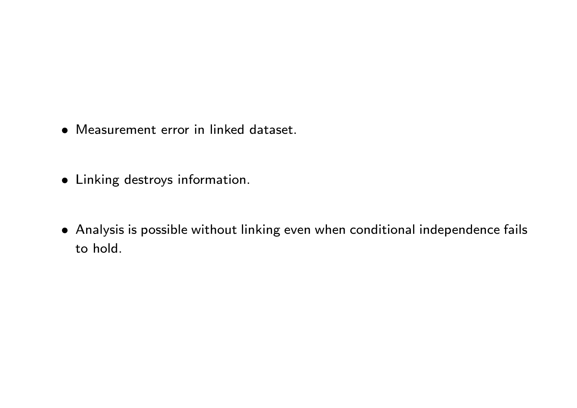- Measurement error in linked dataset.
- Linking destroys information.
- Analysis is possible without linking even when conditional independence fails to hold.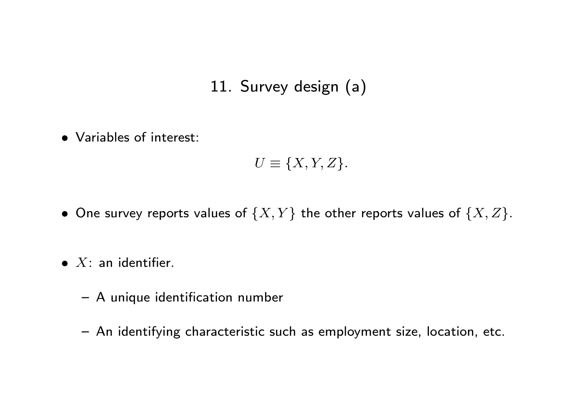# 11. Survey design (a)

Variables of interest:

 $U \equiv \{X, Y, Z\}.$ 

- One survey reports values of  $\{X, Y\}$  the other reports values of  $\{X, Z\}$ .
- $\bullet$  X: an identifier.
	- A unique identification number
	- An identifying characteristic such as employment size, location, etc.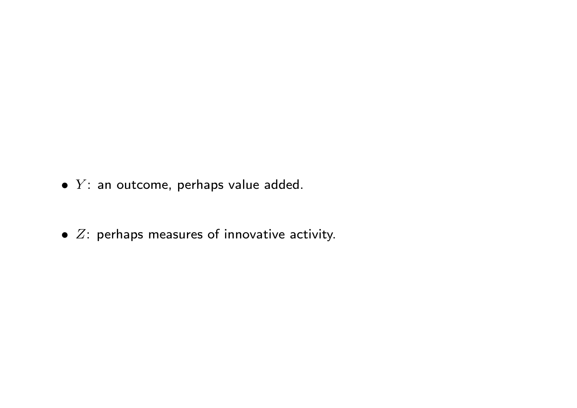- $\bullet$  Y: an outcome, perhaps value added.
- $\bullet$   $Z$ : perhaps measures of innovative activity.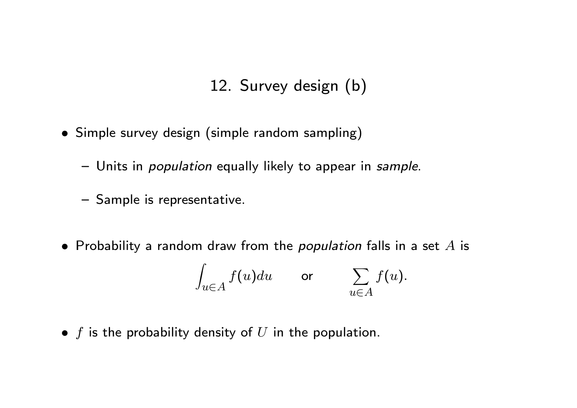## 12. Survey design (b)

- Simple survey design (simple random sampling)
	- Units in *population* equally likely to appear in sample.
	- Sample is representative.
- Probability a random draw from the *population* falls in a set  $A$  is

$$
\int_{u \in A} f(u) du \qquad \text{or} \qquad \sum_{u \in A} f(u).
$$

 $\bullet$  f is the probability density of U in the population.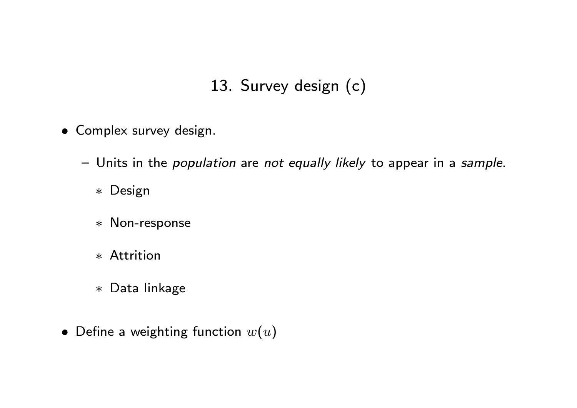# 13. Survey design (c)

- Complex survey design.
	- Units in the *population* are not equally likely to appear in a sample.
		- Design
		- Non-response
		- Attrition
		- Data linkage
- Define a weighting function  $w(u)$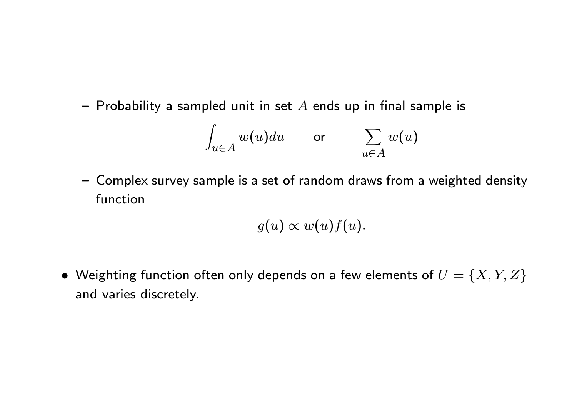- Probability a sampled unit in set  $A$  ends up in final sample is

$$
\int_{u \in A} w(u) du \qquad \text{or} \qquad \sum_{u \in A} w(u)
$$

- Complex survey sample is a set of random draws from a weighted density function

$$
g(u) \propto w(u) f(u).
$$

• Weighting function often only depends on a few elements of  $U = \{X, Y, Z\}$ and varies discretely.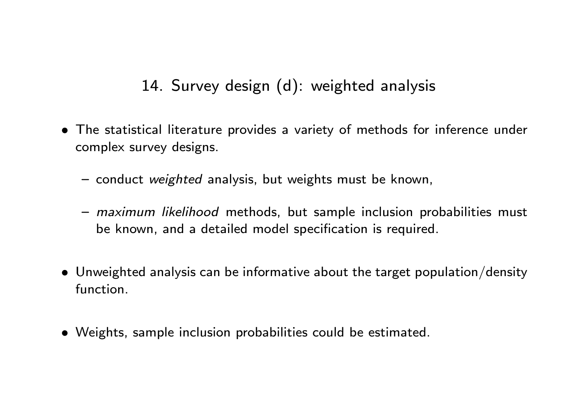# 14. Survey design (d): weighted analysis

- The statistical literature provides a variety of methods for inference under complex survey designs.
	- conduct weighted analysis, but weights must be known,
	- *maximum likelihood* methods, but sample inclusion probabilities must be known, and a detailed model specification is required.
- Unweighted analysis can be informative about the target population/density function.
- Weights, sample inclusion probabilities could be estimated.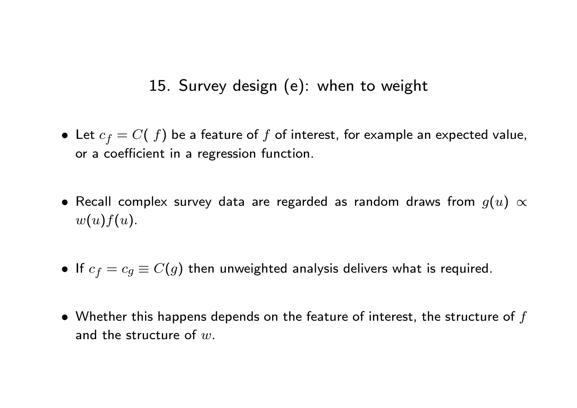## 15. Survey design (e): when to weight

- Let  $c_f = C(f)$  be a feature of  $f$  of interest, for example an expected value, or a coefficient in a regression function.
- $\bullet$  Recall complex survey data are regarded as random draws from  $g(u) \propto$  $w(u)f(u)$ .
- If  $c_f = c_g \equiv C(g)$  then unweighted analysis delivers what is required.
- $\bullet$  Whether this happens depends on the feature of interest, the structure of  $f$ and the structure of  $w$ .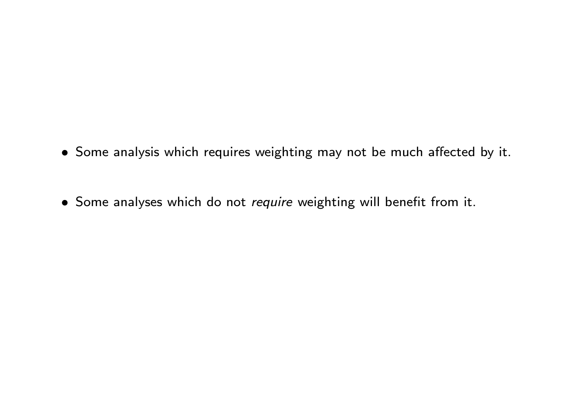- Some analysis which requires weighting may not be much affected by it.
- Some analyses which do not require weighting will benefit from it.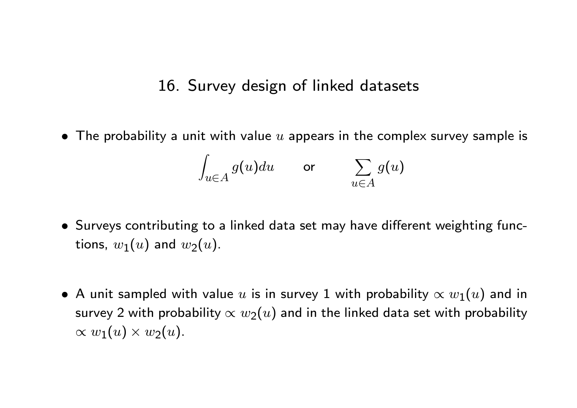#### 16. Survey design of linked datasets

 $\bullet$  The probability a unit with value  $u$  appears in the complex survey sample is

$$
\int_{u \in A} g(u) du \qquad \text{or} \qquad \sum_{u \in A} g(u)
$$

- Surveys contributing to a linked data set may have different weighting functions,  $w_1(u)$  and  $w_2(u)$ .
- $\bullet$  A unit sampled with value  $u$  is in survey 1 with probability  $\propto w_1(u)$  and in survey 2 with probability  $\propto w_2(u)$  and in the linked data set with probability  $\propto w_1(u) \times w_2(u).$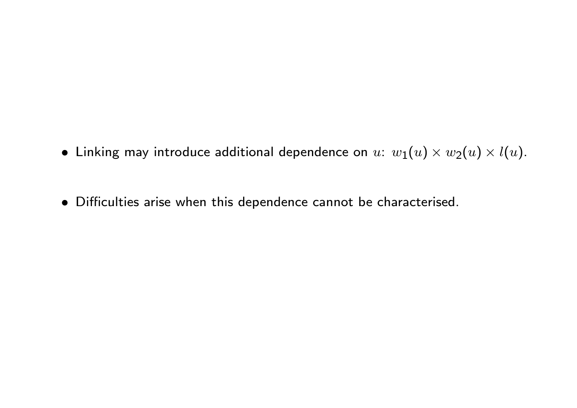- $\bullet$  Linking may introduce additional dependence on  $u\colon\, w_1(u)\times w_2(u)\times l(u).$
- $\bullet$  Difficulties arise when this dependence cannot be characterised.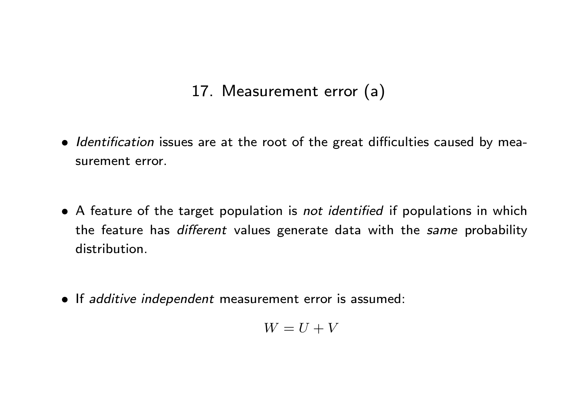## 17. Measurement error (a)

- Identification issues are at the root of the great difficulties caused by measurement error.
- A feature of the target population is not identified if populations in which the feature has different values generate data with the same probability distribution.
- If additive independent measurement error is assumed:

$$
W = U + V
$$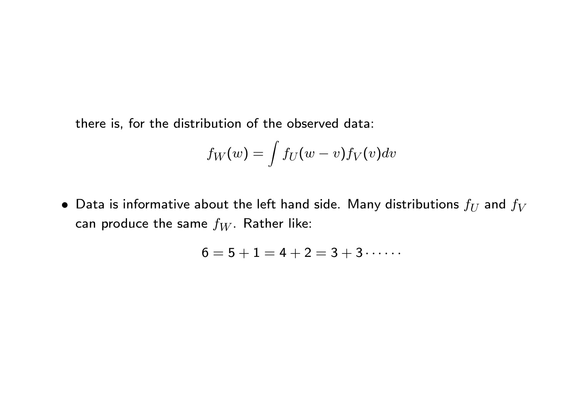there is, for the distribution of the observed data:

$$
f_W(w) = \int f_U(w - v) f_V(v) dv
$$

 $\bullet$  Data is informative about the left hand side. Many distributions  $f_U$  and  $f_V$ can produce the same  $f_W$ . Rather like:

$$
6 = 5 + 1 = 4 + 2 = 3 + 3 \cdots
$$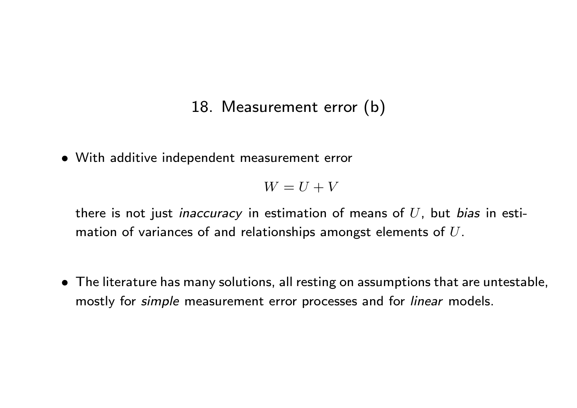## 18. Measurement error (b)

With additive independent measurement error

$$
W=U+V
$$

there is not just *inaccuracy* in estimation of means of  $U$ , but *bias* in estimation of variances of and relationships amongst elements of  $U$ .

 The literature has many solutions, all resting on assumptions that are untestable, mostly for *simple* measurement error processes and for *linear* models.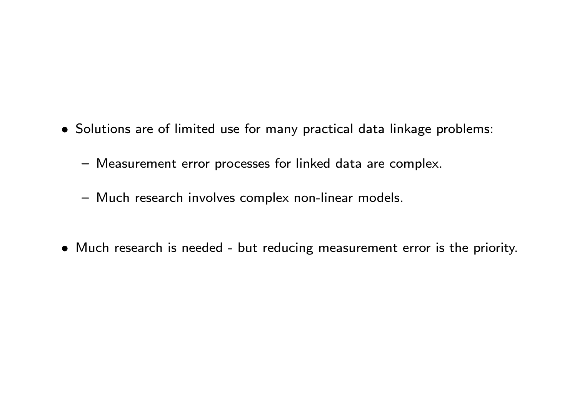- Solutions are of limited use for many practical data linkage problems:
	- Measurement error processes for linked data are complex.
	- Much research involves complex non-linear models.
- Much research is needed but reducing measurement error is the priority.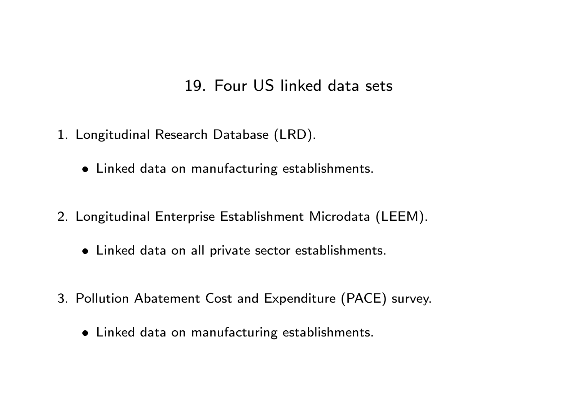#### 19. Four US linked data sets

- 1. Longitudinal Research Database (LRD).
	- Linked data on manufacturing establishments.
- 2. Longitudinal Enterprise Establishment Microdata (LEEM).
	- Linked data on all private sector establishments.
- 3. Pollution Abatement Cost and Expenditure (PACE) survey.
	- Linked data on manufacturing establishments.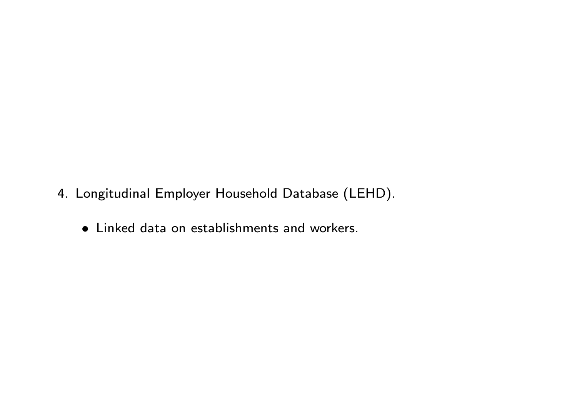- 4. Longitudinal Employer Household Database (LEHD).
	- Linked data on establishments and workers.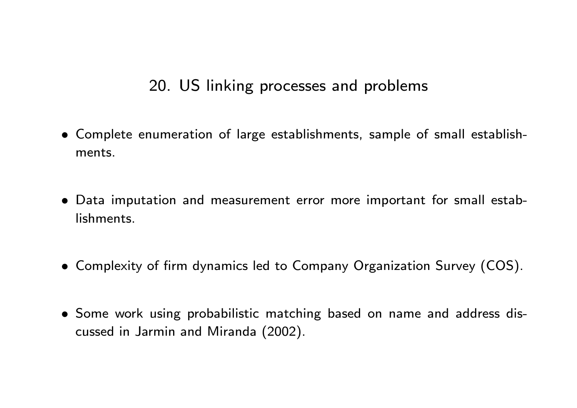## 20. US linking processes and problems

- Complete enumeration of large establishments, sample of small establishments.
- Data imputation and measurement error more important for small establishments.
- Complexity of firm dynamics led to Company Organization Survey (COS).
- Some work using probabilistic matching based on name and address discussed in Jarmin and Miranda (2002).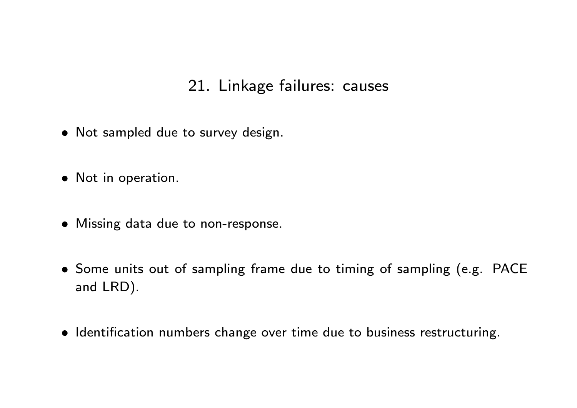## 21. Linkage failures: causes

- Not sampled due to survey design.
- Not in operation.
- Missing data due to non-response.
- Some units out of sampling frame due to timing of sampling (e.g. PACE and LRD).
- $\bullet$  Identification numbers change over time due to business restructuring.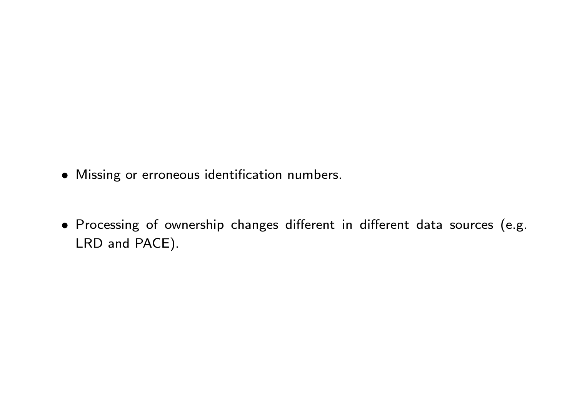- Missing or erroneous identication numbers.
- Processing of ownership changes different in different data sources (e.g. LRD and PACE).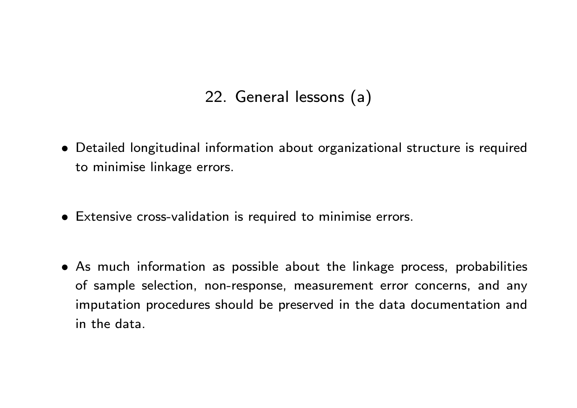## 22. General lessons (a)

- Detailed longitudinal information about organizational structure is required to minimise linkage errors.
- Extensive cross-validation is required to minimise errors.
- As much information as possible about the linkage process, probabilities of sample selection, non-response, measurement error concerns, and any imputation procedures should be preserved in the data documentation and in the data.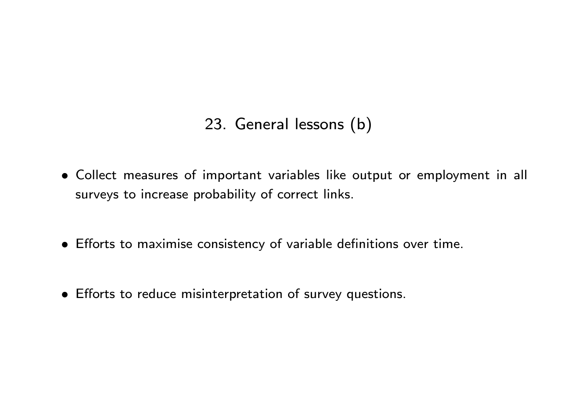# 23. General lessons (b)

- Collect measures of important variables like output or employment in all surveys to increase probability of correct links.
- $\bullet$  Efforts to maximise consistency of variable definitions over time.
- Efforts to reduce misinterpretation of survey questions.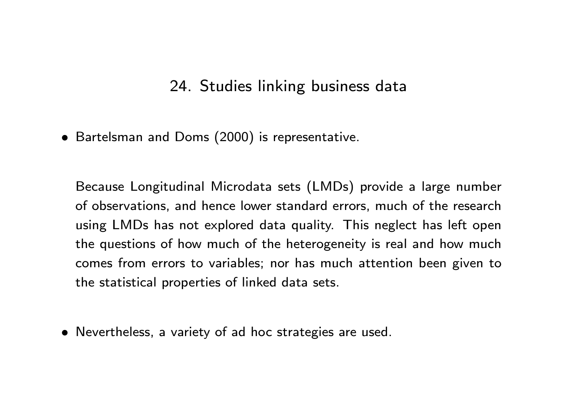#### 24. Studies linking business data

Bartelsman and Doms (2000) is representative.

Because Longitudinal Microdata sets (LMDs) provide a large number of observations, and hence lower standard errors, much of the research using LMDs has not explored data quality. This neglect has left open the questions of how much of the heterogeneity is real and how much comes from errors to variables; nor has much attention been given to the statistical properties of linked data sets.

Nevertheless, a variety of ad hoc strategies are used.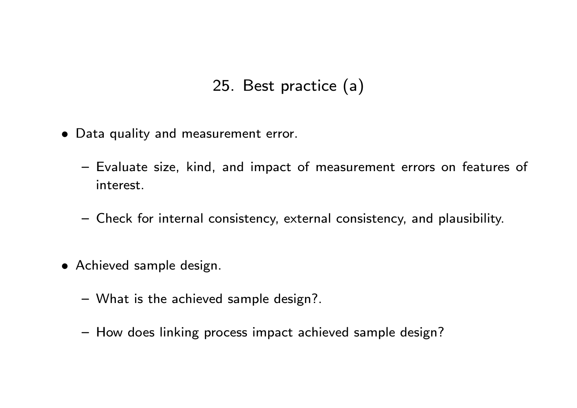## 25. Best practice (a)

- Data quality and measurement error.
	- Evaluate size, kind, and impact of measurement errors on features of interest.
	- { Check for internal consistency, external consistency, and plausibility.
- Achieved sample design.
	- What is the achieved sample design?.
	- How does linking process impact achieved sample design?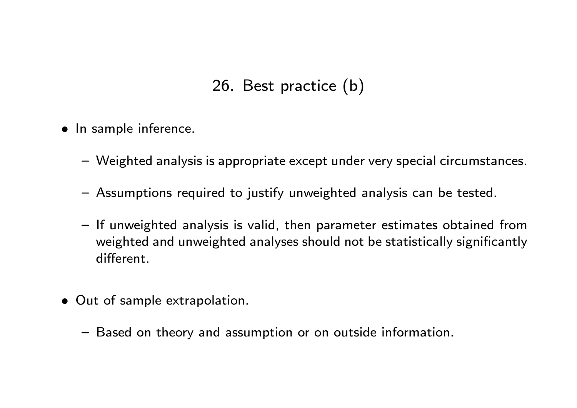# 26. Best practice (b)

- In sample inference.
	- Weighted analysis is appropriate except under very special circumstances.
	- Assumptions required to justify unweighted analysis can be tested.
	- If unweighted analysis is valid, then parameter estimates obtained from weighted and unweighted analyses should not be statistically significantly different
- Out of sample extrapolation.
	- Based on theory and assumption or on outside information.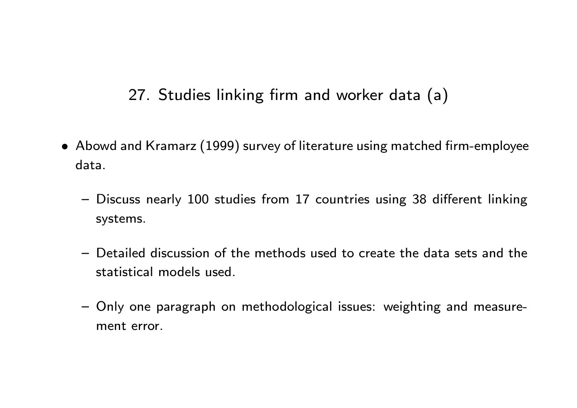# 27. Studies linking firm and worker data (a)

- Abowd and Kramarz (1999) survey of literature using matched firm-employee data.
	- Discuss nearly 100 studies from 17 countries using 38 different linking systems.
	- { Detailed discussion of the methods used to create the data sets and the statistical models used.
	- Only one paragraph on methodological issues: weighting and measurement error.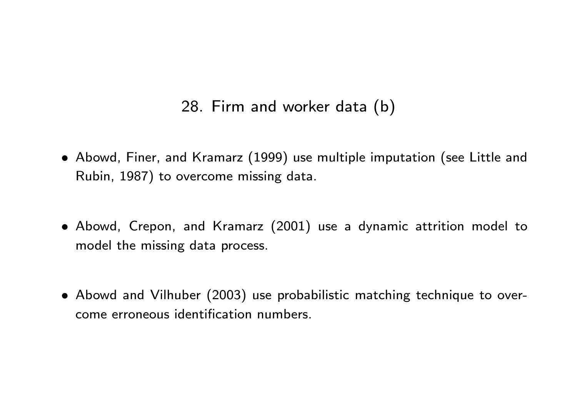#### 28. Firm and worker data (b)

- Abowd, Finer, and Kramarz (1999) use multiple imputation (see Little and Rubin, 1987) to overcome missing data.
- Abowd, Crepon, and Kramarz (2001) use a dynamic attrition model to model the missing data process.
- Abowd and Vilhuber (2003) use probabilistic matching technique to overcome erroneous identication numbers.